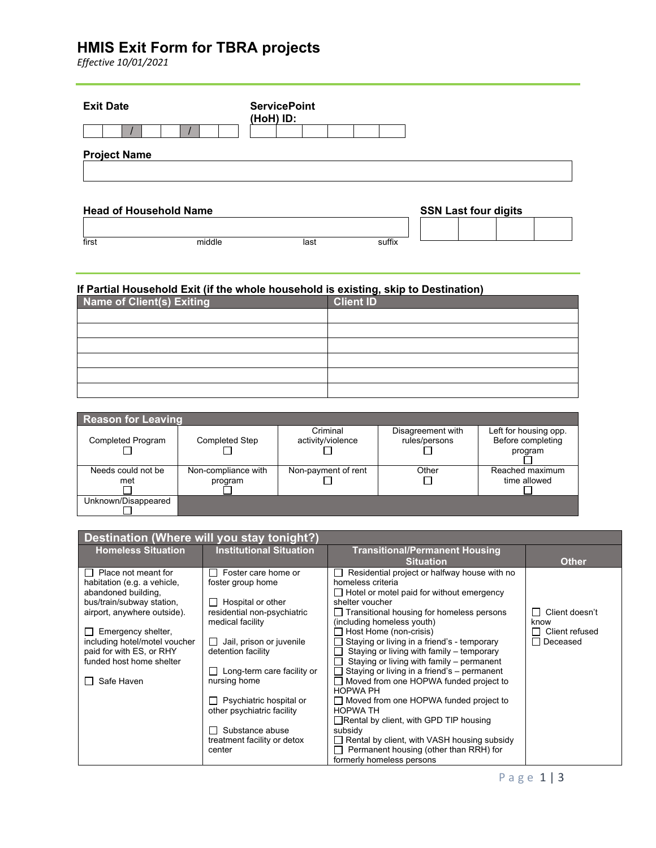# **HMIS Exit Form for TBRA projects**

*Effective 10/01/2021*

| <b>Exit Date</b>    |                               | <b>ServicePoint</b><br>(HoH) ID: |        |                             |  |
|---------------------|-------------------------------|----------------------------------|--------|-----------------------------|--|
| <b>Project Name</b> |                               |                                  |        |                             |  |
|                     | <b>Head of Household Name</b> |                                  |        | <b>SSN Last four digits</b> |  |
| first               | middle                        | last                             | suffix |                             |  |

# **If Partial Household Exit (if the whole household is existing, skip to Destination)**

| Name of Client(s) Exiting | <b>Client ID</b> |
|---------------------------|------------------|
|                           |                  |
|                           |                  |
|                           |                  |
|                           |                  |
|                           |                  |
|                           |                  |

| <b>Reason for Leaving</b> |                       |                     |                   |                       |  |  |  |
|---------------------------|-----------------------|---------------------|-------------------|-----------------------|--|--|--|
|                           |                       | Criminal            | Disagreement with | Left for housing opp. |  |  |  |
| <b>Completed Program</b>  | <b>Completed Step</b> | activity/violence   | rules/persons     | Before completing     |  |  |  |
|                           |                       |                     |                   | program               |  |  |  |
|                           |                       |                     |                   |                       |  |  |  |
| Needs could not be        | Non-compliance with   | Non-payment of rent | Other             | Reached maximum       |  |  |  |
| met                       | program               |                     |                   | time allowed          |  |  |  |
|                           |                       |                     |                   |                       |  |  |  |
| Unknown/Disappeared       |                       |                     |                   |                       |  |  |  |
|                           |                       |                     |                   |                       |  |  |  |

| Destination (Where will you stay tonight?)          |                                |                                                                       |                            |  |  |
|-----------------------------------------------------|--------------------------------|-----------------------------------------------------------------------|----------------------------|--|--|
| <b>Homeless Situation</b>                           | <b>Institutional Situation</b> | <b>Transitional/Permanent Housing</b>                                 |                            |  |  |
| $\Box$ Place not meant for                          | Foster care home or            | <b>Situation</b><br>Residential project or halfway house with no      | <b>Other</b>               |  |  |
| habitation (e.g. a vehicle,                         | foster group home              | homeless criteria                                                     |                            |  |  |
| abandoned building,                                 |                                | $\Box$ Hotel or motel paid for without emergency                      |                            |  |  |
| bus/train/subway station,                           | Hospital or other              | shelter voucher                                                       |                            |  |  |
| airport, anywhere outside).                         | residential non-psychiatric    | $\Box$ Transitional housing for homeless persons                      | Client doesn't             |  |  |
|                                                     | medical facility               | (including homeless youth)                                            | know                       |  |  |
| Emergency shelter,<br>including hotel/motel voucher | Jail, prison or juvenile       | Host Home (non-crisis)<br>Staying or living in a friend's - temporary | Client refused<br>Deceased |  |  |
| paid for with ES, or RHY                            | detention facility             | Staying or living with family - temporary                             |                            |  |  |
| funded host home shelter                            |                                | Staying or living with family - permanent                             |                            |  |  |
|                                                     | Long-term care facility or     | Staying or living in a friend's - permanent                           |                            |  |  |
| Safe Haven                                          | nursing home                   | Moved from one HOPWA funded project to                                |                            |  |  |
|                                                     | Psychiatric hospital or        | <b>HOPWA PH</b><br>□ Moved from one HOPWA funded project to           |                            |  |  |
|                                                     | other psychiatric facility     | <b>HOPWA TH</b>                                                       |                            |  |  |
|                                                     |                                | $\Box$ Rental by client, with GPD TIP housing                         |                            |  |  |
|                                                     | Substance abuse                | subsidy                                                               |                            |  |  |
|                                                     | treatment facility or detox    | Rental by client, with VASH housing subsidy                           |                            |  |  |
|                                                     | center                         | Permanent housing (other than RRH) for                                |                            |  |  |
|                                                     |                                | formerly homeless persons                                             |                            |  |  |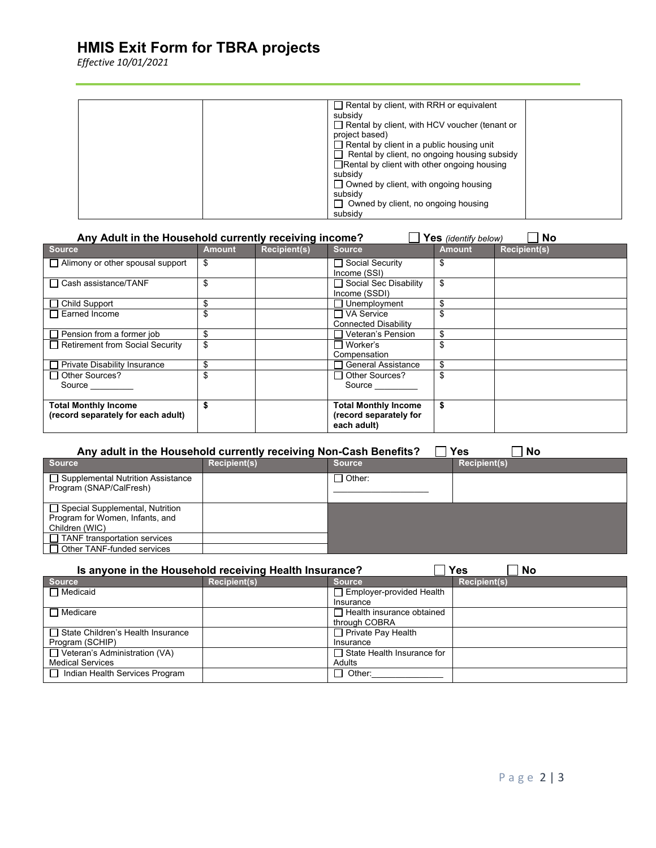## **HMIS Exit Form for TBRA projects**

*Effective 10/01/2021*

| $\Box$ Rental by client, with RRH or equivalent    |
|----------------------------------------------------|
| subsidy                                            |
| Rental by client, with HCV voucher (tenant or      |
| project based)                                     |
| $\Box$ Rental by client in a public housing unit   |
| Rental by client, no ongoing housing subsidy       |
| $\Box$ Rental by client with other ongoing housing |
| subsidy                                            |
| $\Box$ Owned by client, with ongoing housing       |
| subsidy                                            |
| $\Box$ Owned by client, no ongoing housing         |
| subsidy                                            |

| Any Adult in the Household currently receiving income?<br>No<br>Yes (identify below) |               |                     |                                                                      |               |                     |  |
|--------------------------------------------------------------------------------------|---------------|---------------------|----------------------------------------------------------------------|---------------|---------------------|--|
| <b>Source</b>                                                                        | <b>Amount</b> | <b>Recipient(s)</b> | <b>Source</b>                                                        | <b>Amount</b> | <b>Recipient(s)</b> |  |
| $\Box$ Alimony or other spousal support                                              | \$            |                     | □ Social Security<br>Income (SSI)                                    | S             |                     |  |
| $\Box$ Cash assistance/TANF                                                          | \$            |                     | □ Social Sec Disability<br>Income (SSDI)                             | \$            |                     |  |
| $\Box$ Child Support                                                                 | \$            |                     | Unemployment                                                         | \$            |                     |  |
| Earned Income                                                                        | \$            |                     | ヿVA Service<br><b>Connected Disability</b>                           |               |                     |  |
| Pension from a former job                                                            | \$            |                     | Veteran's Pension                                                    | \$            |                     |  |
| $\Box$ Retirement from Social Security                                               | \$            |                     | ⊟ Worker's<br>Compensation                                           |               |                     |  |
| <b>Private Disability Insurance</b>                                                  | \$            |                     | <b>General Assistance</b>                                            |               |                     |  |
| $\Box$ Other Sources?<br>Source                                                      | \$            |                     | $\Box$ Other Sources?<br>Source                                      |               |                     |  |
| <b>Total Monthly Income</b><br>(record separately for each adult)                    |               |                     | <b>Total Monthly Income</b><br>(record separately for<br>each adult) | S             |                     |  |

| <b>Yes</b><br>Any adult in the Household currently receiving Non-Cash Benefits?<br>No |                     |               |                     |  |  |  |
|---------------------------------------------------------------------------------------|---------------------|---------------|---------------------|--|--|--|
| <b>Source</b>                                                                         | <b>Recipient(s)</b> | <b>Source</b> | <b>Recipient(s)</b> |  |  |  |
| □ Supplemental Nutrition Assistance<br>Program (SNAP/CalFresh)                        |                     | ∃ Other:      |                     |  |  |  |
| □ Special Supplemental, Nutrition                                                     |                     |               |                     |  |  |  |
| Program for Women, Infants, and                                                       |                     |               |                     |  |  |  |
| Children (WIC)                                                                        |                     |               |                     |  |  |  |
| $\Box$ TANF transportation services                                                   |                     |               |                     |  |  |  |
| $\Box$ Other TANF-funded services                                                     |                     |               |                     |  |  |  |

| Yes<br>Is anyone in the Household receiving Health Insurance?<br><b>No</b> |                     |                                   |                     |  |  |  |
|----------------------------------------------------------------------------|---------------------|-----------------------------------|---------------------|--|--|--|
| <b>Source</b>                                                              | <b>Recipient(s)</b> | <b>Source</b>                     | <b>Recipient(s)</b> |  |  |  |
| $\Box$ Medicaid                                                            |                     | Employer-provided Health          |                     |  |  |  |
|                                                                            |                     | Insurance                         |                     |  |  |  |
| $\Box$ Medicare                                                            |                     | $\Box$ Health insurance obtained  |                     |  |  |  |
|                                                                            |                     | through COBRA                     |                     |  |  |  |
| □ State Children's Health Insurance                                        |                     | $\Box$ Private Pay Health         |                     |  |  |  |
| Program (SCHIP)                                                            |                     | Insurance                         |                     |  |  |  |
| $\Box$ Veteran's Administration (VA)                                       |                     | $\Box$ State Health Insurance for |                     |  |  |  |
| <b>Medical Services</b>                                                    |                     | Adults                            |                     |  |  |  |
| □ Indian Health Services Program                                           |                     | $\Box$ Other:                     |                     |  |  |  |